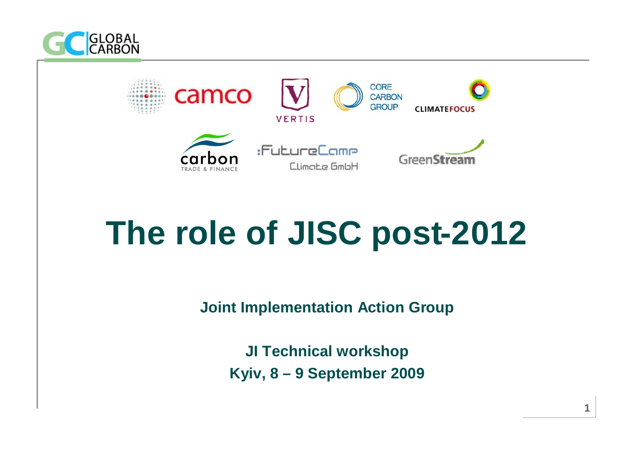



# **The role of JISC post-2012**

**Joint Implementation Action Group**

**JI Technical workshop Kyiv, 8 – 9 September 2009**

**1**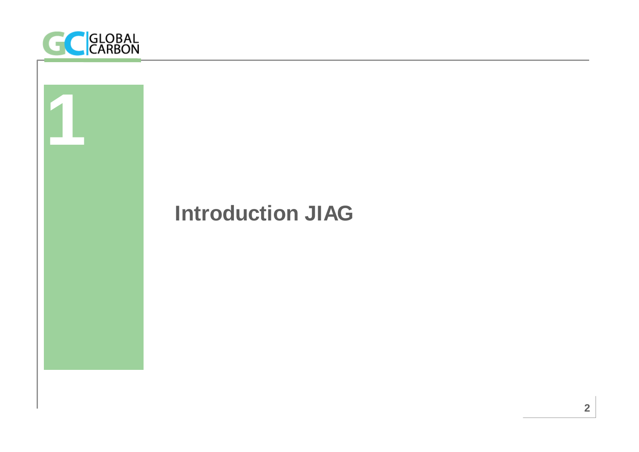

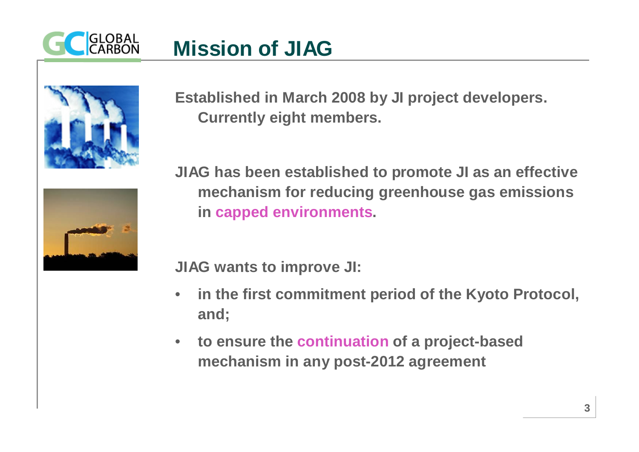

#### **Mission of JIAG**



**Established in March 2008 by JI project developers. Currently eight members.**



**JIAG has been established to promote JI as an effective mechanism for reducing greenhouse gas emissions in capped environments.** 

**JIAG wants to improve JI:**

- **in the first commitment period of the Kyoto Protocol, and;**
- **to ensure the continuation of a project-based mechanism in any post-2012 agreement**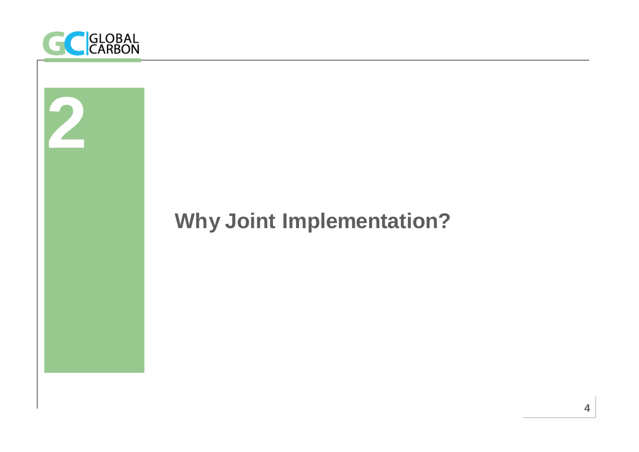

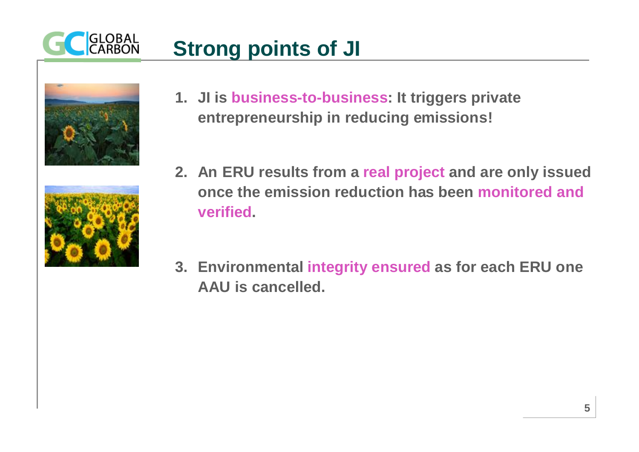

## **Strong points of JI**



**1. JI is business-to-business: It triggers private entrepreneurship in reducing emissions!**



- **2. An ERU results from a real project and are only issued once the emission reduction has been monitored and verified.**
- **3. Environmental integrity ensured as for each ERU one AAU is cancelled.**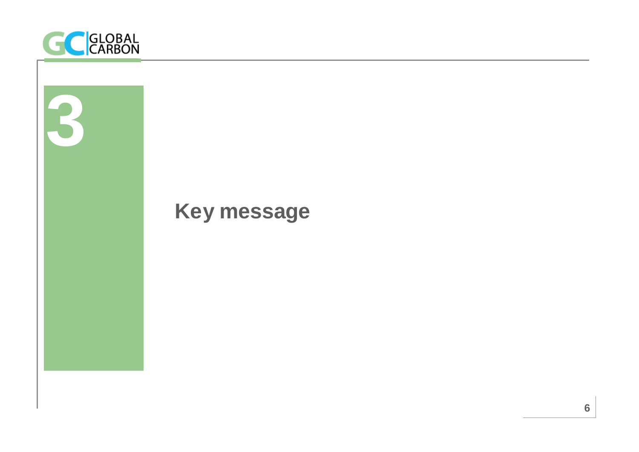

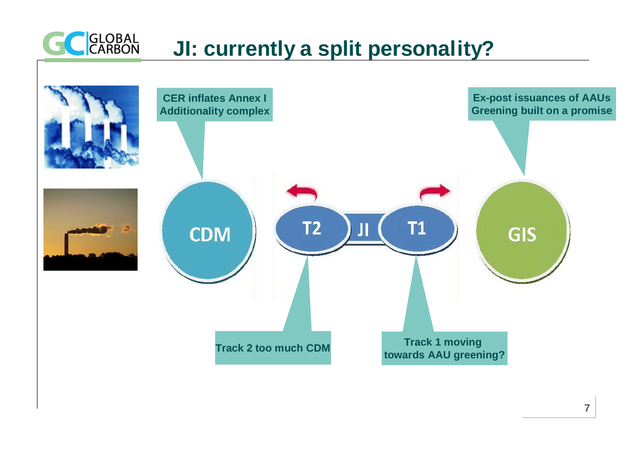

#### **JI: currently a split personality?**

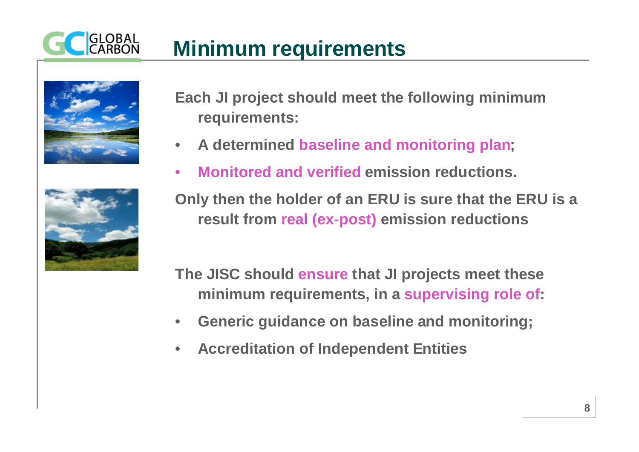## **Minimum requirements**



• **A determined baseline and monitoring plan;** • **Monitored and verified emission reductions.**

**requirements:**

**Only then the holder of an ERU is sure that the ERU is a result from real (ex-post) emission reductions**

**The JISC should ensure that JI projects meet these minimum requirements, in a supervising role of:**

**Each JI project should meet the following minimum** 

- **Generic guidance on baseline and monitoring;**
- **Accreditation of Independent Entities**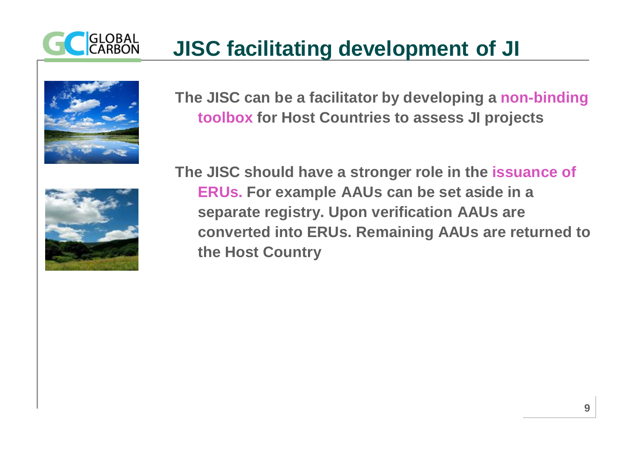

## **JISC facilitating development of JI**



**The JISC can be a facilitator by developing a non-binding toolbox for Host Countries to assess JI projects**



**The JISC should have a stronger role in the issuance of ERUs. For example AAUs can be set aside in a separate registry. Upon verification AAUs are converted into ERUs. Remaining AAUs are returned to the Host Country**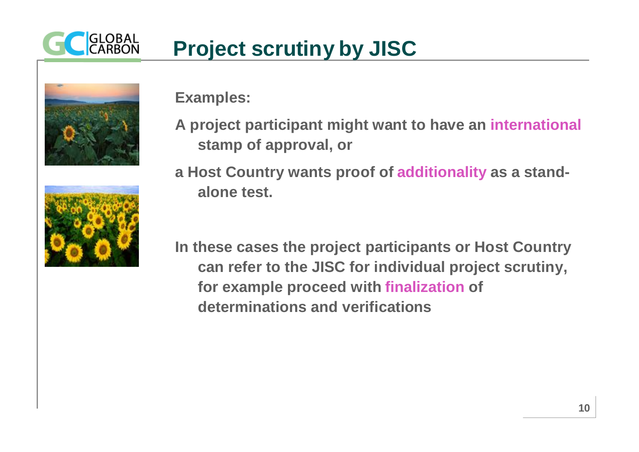



**Examples:**

**A project participant might want to have an international stamp of approval, or**



**a Host Country wants proof of additionality as a standalone test.**

**In these cases the project participants or Host Country can refer to the JISC for individual project scrutiny, for example proceed with finalization of determinations and verifications**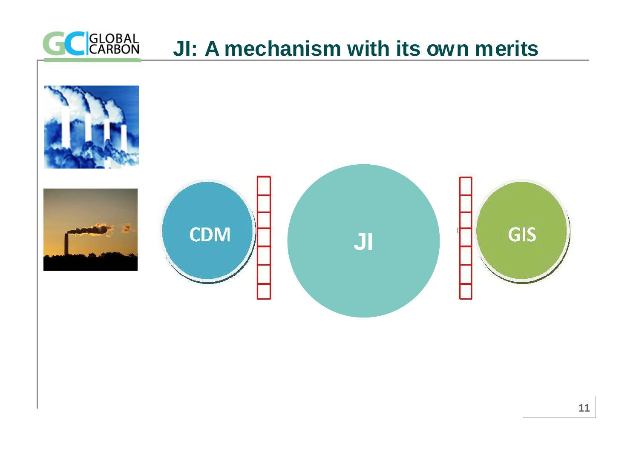



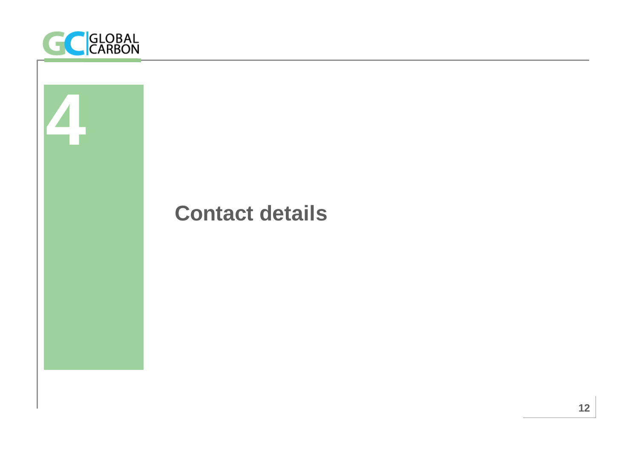